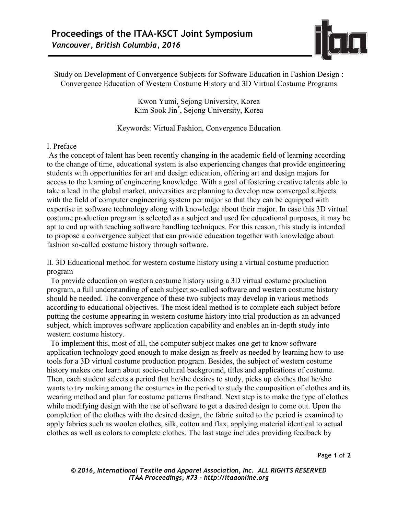

Study on Development of Convergence Subjects for Software Education in Fashion Design : Convergence Education of Western Costume History and 3D Virtual Costume Programs

> Kwon Yumi, Sejong University, Korea Kim Sook Jin\* , Sejong University, Korea

Keywords: Virtual Fashion, Convergence Education

## I. Preface

As the concept of talent has been recently changing in the academic field of learning according to the change of time, educational system is also experiencing changes that provide engineering students with opportunities for art and design education, offering art and design majors for access to the learning of engineering knowledge. With a goal of fostering creative talents able to take a lead in the global market, universities are planning to develop new converged subjects with the field of computer engineering system per major so that they can be equipped with expertise in software technology along with knowledge about their major. In case this 3D virtual costume production program is selected as a subject and used for educational purposes, it may be apt to end up with teaching software handling techniques. For this reason, this study is intended to propose a convergence subject that can provide education together with knowledge about fashion so-called costume history through software.

II. 3D Educational method for western costume history using a virtual costume production program

To provide education on western costume history using a 3D virtual costume production program, a full understanding of each subject so-called software and western costume history should be needed. The convergence of these two subjects may develop in various methods according to educational objectives. The most ideal method is to complete each subject before putting the costume appearing in western costume history into trial production as an advanced subject, which improves software application capability and enables an in-depth study into western costume history.

 To implement this, most of all, the computer subject makes one get to know software application technology good enough to make design as freely as needed by learning how to use tools for a 3D virtual costume production program. Besides, the subject of western costume history makes one learn about socio-cultural background, titles and applications of costume. Then, each student selects a period that he/she desires to study, picks up clothes that he/she wants to try making among the costumes in the period to study the composition of clothes and its wearing method and plan for costume patterns firsthand. Next step is to make the type of clothes while modifying design with the use of software to get a desired design to come out. Upon the completion of the clothes with the desired design, the fabric suited to the period is examined to apply fabrics such as woolen clothes, silk, cotton and flax, applying material identical to actual clothes as well as colors to complete clothes. The last stage includes providing feedback by

Page **1** of **2** 

*© 2016, International Textile and Apparel Association, Inc. ALL RIGHTS RESERVED ITAA Proceedings, #73 – http://itaaonline.org*